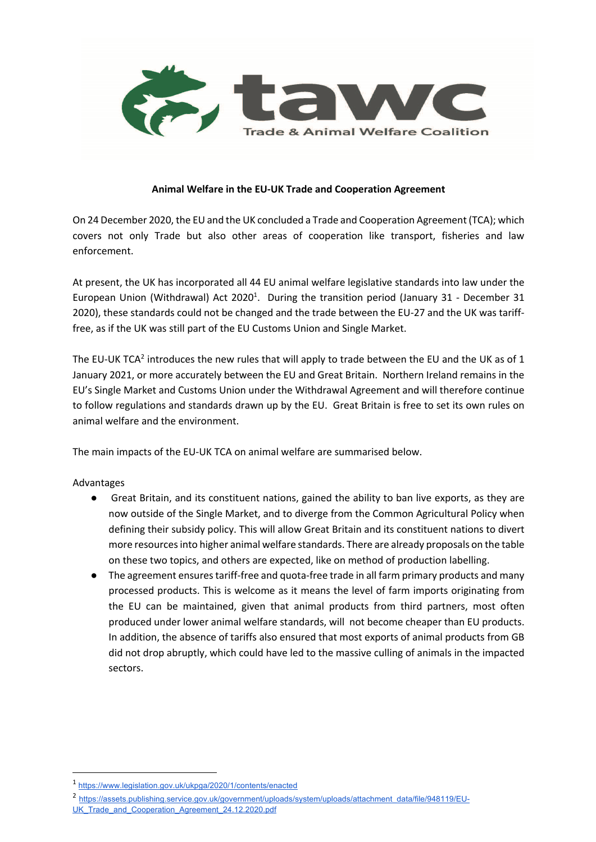

#### **Animal Welfare in the EU-UK Trade and Cooperation Agreement**

On 24 December 2020, the EU and the UK concluded a Trade and Cooperation Agreement (TCA); which covers not only Trade but also other areas of cooperation like transport, fisheries and law enforcement.

At present, the UK has incorporated all 44 EU animal welfare legislative standards into law under the European Union (Withdrawal) Act 2020<sup>1</sup>. During the transition period (January 31 - December 31 2020), these standards could not be changed and the trade between the EU-27 and the UK was tarifffree, as if the UK was still part of the EU Customs Union and Single Market.

The EU-UK TCA<sup>2</sup> introduces the new rules that will apply to trade between the EU and the UK as of 1 January 2021, or more accurately between the EU and Great Britain. Northern Ireland remains in the EU's Single Market and Customs Union under the Withdrawal Agreement and will therefore continue to follow regulations and standards drawn up by the EU. Great Britain is free to set its own rules on animal welfare and the environment.

The main impacts of the EU-UK TCA on animal welfare are summarised below.

## Advantages

- Great Britain, and its constituent nations, gained the ability to ban live exports, as they are now outside of the Single Market, and to diverge from the Common Agricultural Policy when defining their subsidy policy. This will allow Great Britain and its constituent nations to divert more resources into higher animal welfare standards. There are already proposals on the table on these two topics, and others are expected, like on method of production labelling.
- The agreement ensures tariff-free and quota-free trade in all farm primary products and many processed products. This is welcome as it means the level of farm imports originating from the EU can be maintained, given that animal products from third partners, most often produced under lower animal welfare standards, will not become cheaper than EU products. In addition, the absence of tariffs also ensured that most exports of animal products from GB did not drop abruptly, which could have led to the massive culling of animals in the impacted sectors.

<sup>1</sup> https://www.legislation.gov.uk/ukpga/2020/1/contents/enacted

<sup>2</sup> https://assets.publishing.service.gov.uk/government/uploads/system/uploads/attachment\_data/file/948119/EU-UK\_Trade\_and\_Cooperation\_Agreement\_24.12.2020.pdf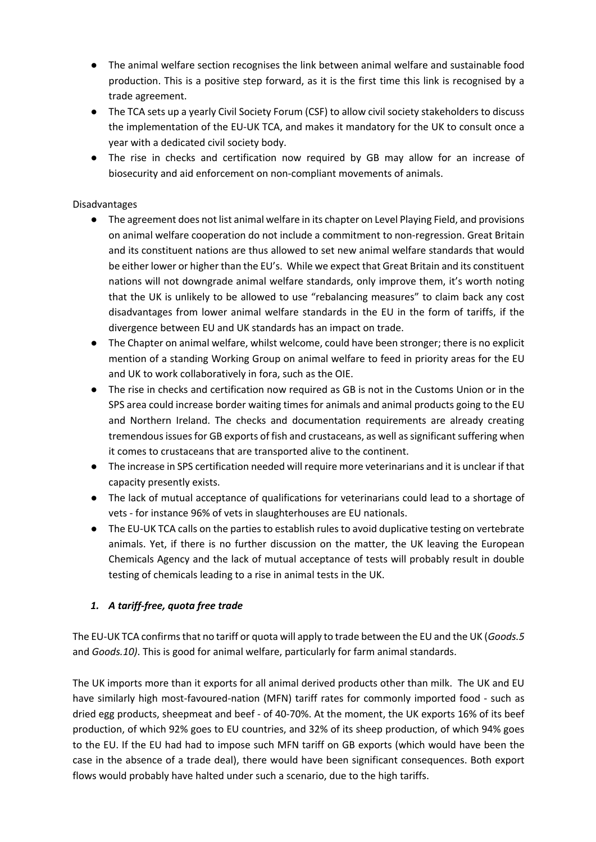- The animal welfare section recognises the link between animal welfare and sustainable food production. This is a positive step forward, as it is the first time this link is recognised by a trade agreement.
- The TCA sets up a yearly Civil Society Forum (CSF) to allow civil society stakeholders to discuss the implementation of the EU-UK TCA, and makes it mandatory for the UK to consult once a year with a dedicated civil society body.
- The rise in checks and certification now required by GB may allow for an increase of biosecurity and aid enforcement on non-compliant movements of animals.

# Disadvantages

- The agreement does not list animal welfare in its chapter on Level Playing Field, and provisions on animal welfare cooperation do not include a commitment to non-regression. Great Britain and its constituent nations are thus allowed to set new animal welfare standards that would be either lower or higher than the EU's. While we expect that Great Britain and its constituent nations will not downgrade animal welfare standards, only improve them, it's worth noting that the UK is unlikely to be allowed to use "rebalancing measures" to claim back any cost disadvantages from lower animal welfare standards in the EU in the form of tariffs, if the divergence between EU and UK standards has an impact on trade.
- The Chapter on animal welfare, whilst welcome, could have been stronger; there is no explicit mention of a standing Working Group on animal welfare to feed in priority areas for the EU and UK to work collaboratively in fora, such as the OIE.
- The rise in checks and certification now required as GB is not in the Customs Union or in the SPS area could increase border waiting times for animals and animal products going to the EU and Northern Ireland. The checks and documentation requirements are already creating tremendous issues for GB exports of fish and crustaceans, as well as significant suffering when it comes to crustaceans that are transported alive to the continent.
- The increase in SPS certification needed will require more veterinarians and it is unclear if that capacity presently exists.
- The lack of mutual acceptance of qualifications for veterinarians could lead to a shortage of vets - for instance 96% of vets in slaughterhouses are EU nationals.
- The EU-UK TCA calls on the parties to establish rules to avoid duplicative testing on vertebrate animals. Yet, if there is no further discussion on the matter, the UK leaving the European Chemicals Agency and the lack of mutual acceptance of tests will probably result in double testing of chemicals leading to a rise in animal tests in the UK.

# *1. A tariff-free, quota free trade*

The EU-UK TCA confirms that no tariff or quota will apply to trade between the EU and the UK (*Goods.5*  and *Goods.10)*. This is good for animal welfare, particularly for farm animal standards.

The UK imports more than it exports for all animal derived products other than milk. The UK and EU have similarly high most-favoured-nation (MFN) tariff rates for commonly imported food - such as dried egg products, sheepmeat and beef - of 40-70%. At the moment, the UK exports 16% of its beef production, of which 92% goes to EU countries, and 32% of its sheep production, of which 94% goes to the EU. If the EU had had to impose such MFN tariff on GB exports (which would have been the case in the absence of a trade deal), there would have been significant consequences. Both export flows would probably have halted under such a scenario, due to the high tariffs.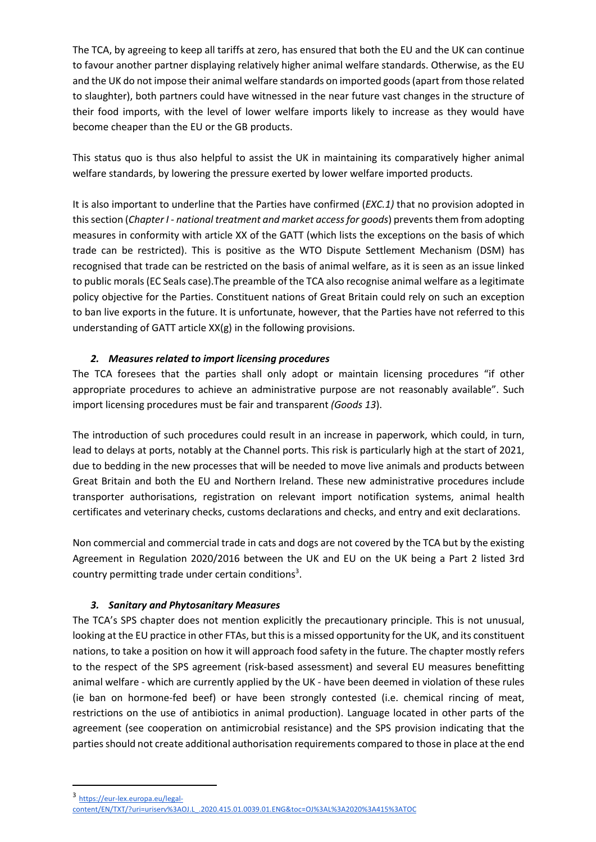The TCA, by agreeing to keep all tariffs at zero, has ensured that both the EU and the UK can continue to favour another partner displaying relatively higher animal welfare standards. Otherwise, as the EU and the UK do not impose their animal welfare standards on imported goods (apart from those related to slaughter), both partners could have witnessed in the near future vast changes in the structure of their food imports, with the level of lower welfare imports likely to increase as they would have become cheaper than the EU or the GB products.

This status quo is thus also helpful to assist the UK in maintaining its comparatively higher animal welfare standards, by lowering the pressure exerted by lower welfare imported products.

It is also important to underline that the Parties have confirmed (*EXC.1)* that no provision adopted in this section (*Chapter I - national treatment and market access for goods*) prevents them from adopting measures in conformity with article XX of the GATT (which lists the exceptions on the basis of which trade can be restricted). This is positive as the WTO Dispute Settlement Mechanism (DSM) has recognised that trade can be restricted on the basis of animal welfare, as it is seen as an issue linked to public morals (EC Seals case).The preamble of the TCA also recognise animal welfare as a legitimate policy objective for the Parties. Constituent nations of Great Britain could rely on such an exception to ban live exports in the future. It is unfortunate, however, that the Parties have not referred to this understanding of GATT article XX(g) in the following provisions.

# *2. Measures related to import licensing procedures*

The TCA foresees that the parties shall only adopt or maintain licensing procedures "if other appropriate procedures to achieve an administrative purpose are not reasonably available". Such import licensing procedures must be fair and transparent *(Goods 13*).

The introduction of such procedures could result in an increase in paperwork, which could, in turn, lead to delays at ports, notably at the Channel ports. This risk is particularly high at the start of 2021, due to bedding in the new processes that will be needed to move live animals and products between Great Britain and both the EU and Northern Ireland. These new administrative procedures include transporter authorisations, registration on relevant import notification systems, animal health certificates and veterinary checks, customs declarations and checks, and entry and exit declarations.

Non commercial and commercial trade in cats and dogs are not covered by the TCA but by the existing Agreement in Regulation 2020/2016 between the UK and EU on the UK being a Part 2 listed 3rd country permitting trade under certain conditions<sup>3</sup>.

# *3. Sanitary and Phytosanitary Measures*

The TCA's SPS chapter does not mention explicitly the precautionary principle. This is not unusual, looking at the EU practice in other FTAs, but this is a missed opportunity for the UK, and its constituent nations, to take a position on how it will approach food safety in the future. The chapter mostly refers to the respect of the SPS agreement (risk-based assessment) and several EU measures benefitting animal welfare - which are currently applied by the UK - have been deemed in violation of these rules (ie ban on hormone-fed beef) or have been strongly contested (i.e. chemical rincing of meat, restrictions on the use of antibiotics in animal production). Language located in other parts of the agreement (see cooperation on antimicrobial resistance) and the SPS provision indicating that the parties should not create additional authorisation requirements compared to those in place at the end

<sup>3</sup> https://eur-lex.europa.eu/legal-

content/EN/TXT/?uri=uriserv%3AOJ.L\_.2020.415.01.0039.01.ENG&toc=OJ%3AL%3A2020%3A415%3ATOC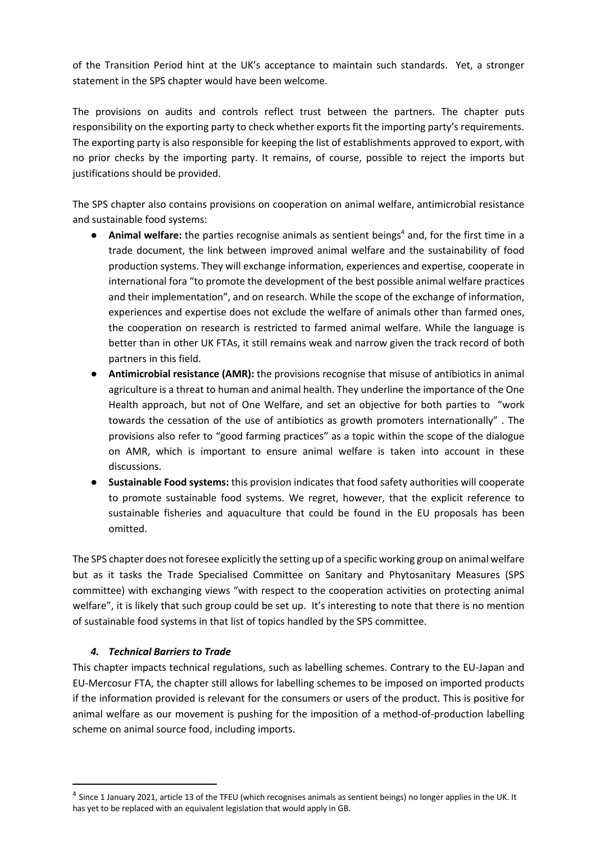of the Transition Period hint at the UK's acceptance to maintain such standards. Yet, a stronger statement in the SPS chapter would have been welcome.

The provisions on audits and controls reflect trust between the partners. The chapter puts responsibility on the exporting party to check whether exports fit the importing party's requirements. The exporting party is also responsible for keeping the list of establishments approved to export, with no prior checks by the importing party. It remains, of course, possible to reject the imports but justifications should be provided.

The SPS chapter also contains provisions on cooperation on animal welfare, antimicrobial resistance and sustainable food systems:

- Animal welfare: the parties recognise animals as sentient beings<sup>4</sup> and, for the first time in a trade document, the link between improved animal welfare and the sustainability of food production systems. They will exchange information, experiences and expertise, cooperate in international fora "to promote the development of the best possible animal welfare practices and their implementation", and on research. While the scope of the exchange of information, experiences and expertise does not exclude the welfare of animals other than farmed ones, the cooperation on research is restricted to farmed animal welfare. While the language is better than in other UK FTAs, it still remains weak and narrow given the track record of both partners in this field.
- **Antimicrobial resistance (AMR):** the provisions recognise that misuse of antibiotics in animal agriculture is a threat to human and animal health. They underline the importance of the One Health approach, but not of One Welfare, and set an objective for both parties to "work towards the cessation of the use of antibiotics as growth promoters internationally" . The provisions also refer to "good farming practices" as a topic within the scope of the dialogue on AMR, which is important to ensure animal welfare is taken into account in these discussions.
- **Sustainable Food systems:** this provision indicates that food safety authorities will cooperate to promote sustainable food systems. We regret, however, that the explicit reference to sustainable fisheries and aquaculture that could be found in the EU proposals has been omitted.

The SPS chapter does not foresee explicitly the setting up of a specific working group on animal welfare but as it tasks the Trade Specialised Committee on Sanitary and Phytosanitary Measures (SPS committee) with exchanging views "with respect to the cooperation activities on protecting animal welfare", it is likely that such group could be set up. It's interesting to note that there is no mention of sustainable food systems in that list of topics handled by the SPS committee.

## *4. Technical Barriers to Trade*

This chapter impacts technical regulations, such as labelling schemes. Contrary to the EU-Japan and EU-Mercosur FTA, the chapter still allows for labelling schemes to be imposed on imported products if the information provided is relevant for the consumers or users of the product. This is positive for animal welfare as our movement is pushing for the imposition of a method-of-production labelling scheme on animal source food, including imports.

<sup>&</sup>lt;sup>4</sup> Since 1 January 2021, article 13 of the TFEU (which recognises animals as sentient beings) no longer applies in the UK. It has yet to be replaced with an equivalent legislation that would apply in GB.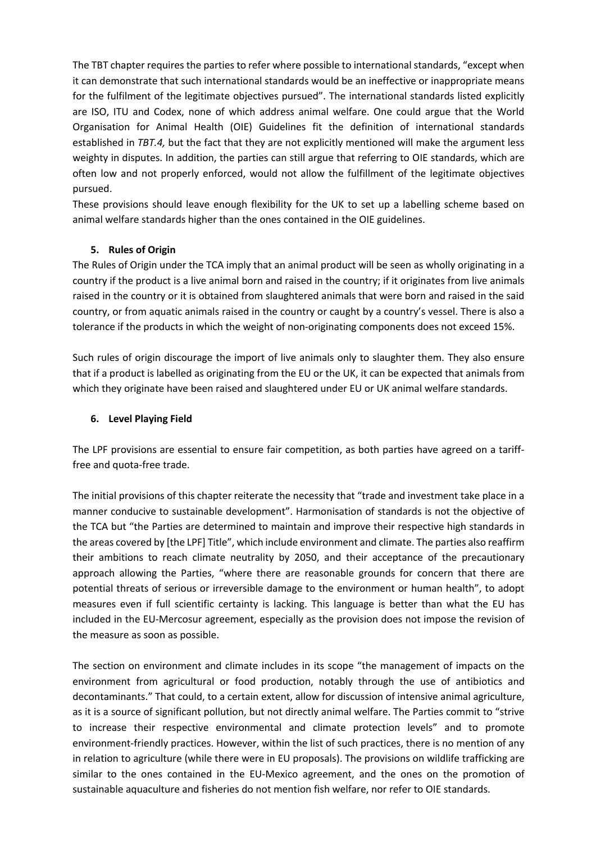The TBT chapter requires the parties to refer where possible to international standards, "except when it can demonstrate that such international standards would be an ineffective or inappropriate means for the fulfilment of the legitimate objectives pursued". The international standards listed explicitly are ISO, ITU and Codex, none of which address animal welfare. One could argue that the World Organisation for Animal Health (OIE) Guidelines fit the definition of international standards established in *TBT.4,* but the fact that they are not explicitly mentioned will make the argument less weighty in disputes. In addition, the parties can still argue that referring to OIE standards, which are often low and not properly enforced, would not allow the fulfillment of the legitimate objectives pursued.

These provisions should leave enough flexibility for the UK to set up a labelling scheme based on animal welfare standards higher than the ones contained in the OIE guidelines.

## **5. Rules of Origin**

The Rules of Origin under the TCA imply that an animal product will be seen as wholly originating in a country if the product is a live animal born and raised in the country; if it originates from live animals raised in the country or it is obtained from slaughtered animals that were born and raised in the said country, or from aquatic animals raised in the country or caught by a country's vessel. There is also a tolerance if the products in which the weight of non-originating components does not exceed 15%.

Such rules of origin discourage the import of live animals only to slaughter them. They also ensure that if a product is labelled as originating from the EU or the UK, it can be expected that animals from which they originate have been raised and slaughtered under EU or UK animal welfare standards.

#### **6. Level Playing Field**

The LPF provisions are essential to ensure fair competition, as both parties have agreed on a tarifffree and quota-free trade.

The initial provisions of this chapter reiterate the necessity that "trade and investment take place in a manner conducive to sustainable development". Harmonisation of standards is not the objective of the TCA but "the Parties are determined to maintain and improve their respective high standards in the areas covered by [the LPF] Title", which include environment and climate. The parties also reaffirm their ambitions to reach climate neutrality by 2050, and their acceptance of the precautionary approach allowing the Parties, "where there are reasonable grounds for concern that there are potential threats of serious or irreversible damage to the environment or human health", to adopt measures even if full scientific certainty is lacking. This language is better than what the EU has included in the EU-Mercosur agreement, especially as the provision does not impose the revision of the measure as soon as possible.

The section on environment and climate includes in its scope "the management of impacts on the environment from agricultural or food production, notably through the use of antibiotics and decontaminants." That could, to a certain extent, allow for discussion of intensive animal agriculture, as it is a source of significant pollution, but not directly animal welfare. The Parties commit to "strive to increase their respective environmental and climate protection levels" and to promote environment-friendly practices. However, within the list of such practices, there is no mention of any in relation to agriculture (while there were in EU proposals). The provisions on wildlife trafficking are similar to the ones contained in the EU-Mexico agreement, and the ones on the promotion of sustainable aquaculture and fisheries do not mention fish welfare, nor refer to OIE standards.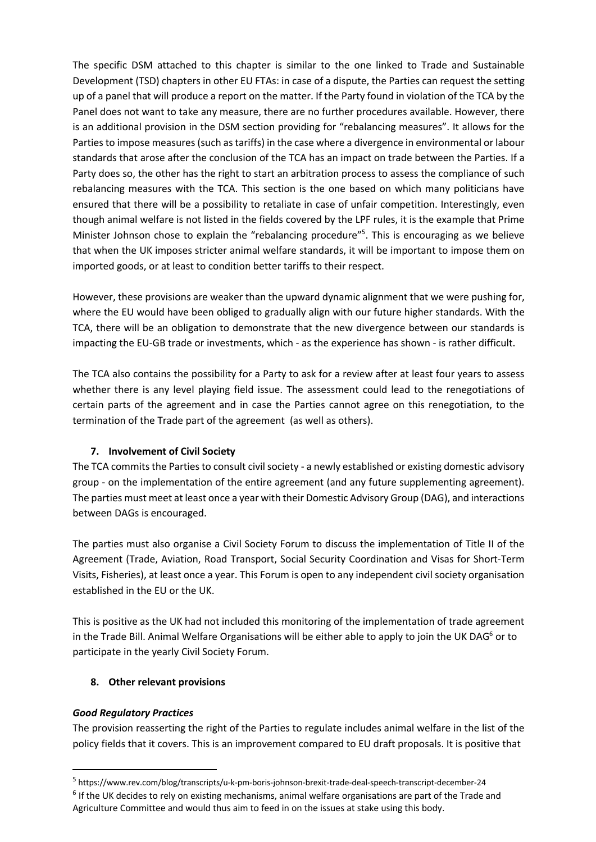The specific DSM attached to this chapter is similar to the one linked to Trade and Sustainable Development (TSD) chapters in other EU FTAs: in case of a dispute, the Parties can request the setting up of a panel that will produce a report on the matter. If the Party found in violation of the TCA by the Panel does not want to take any measure, there are no further procedures available. However, there is an additional provision in the DSM section providing for "rebalancing measures". It allows for the Parties to impose measures (such as tariffs) in the case where a divergence in environmental or labour standards that arose after the conclusion of the TCA has an impact on trade between the Parties. If a Party does so, the other has the right to start an arbitration process to assess the compliance of such rebalancing measures with the TCA. This section is the one based on which many politicians have ensured that there will be a possibility to retaliate in case of unfair competition. Interestingly, even though animal welfare is not listed in the fields covered by the LPF rules, it is the example that Prime Minister Johnson chose to explain the "rebalancing procedure"<sup>5</sup>. This is encouraging as we believe that when the UK imposes stricter animal welfare standards, it will be important to impose them on imported goods, or at least to condition better tariffs to their respect.

However, these provisions are weaker than the upward dynamic alignment that we were pushing for, where the EU would have been obliged to gradually align with our future higher standards. With the TCA, there will be an obligation to demonstrate that the new divergence between our standards is impacting the EU-GB trade or investments, which - as the experience has shown - is rather difficult.

The TCA also contains the possibility for a Party to ask for a review after at least four years to assess whether there is any level playing field issue. The assessment could lead to the renegotiations of certain parts of the agreement and in case the Parties cannot agree on this renegotiation, to the termination of the Trade part of the agreement (as well as others).

## **7. Involvement of Civil Society**

The TCA commits the Parties to consult civil society - a newly established or existing domestic advisory group - on the implementation of the entire agreement (and any future supplementing agreement). The parties must meet at least once a year with their Domestic Advisory Group (DAG), and interactions between DAGs is encouraged.

The parties must also organise a Civil Society Forum to discuss the implementation of Title II of the Agreement (Trade, Aviation, Road Transport, Social Security Coordination and Visas for Short-Term Visits, Fisheries), at least once a year. This Forum is open to any independent civil society organisation established in the EU or the UK.

This is positive as the UK had not included this monitoring of the implementation of trade agreement in the Trade Bill. Animal Welfare Organisations will be either able to apply to join the UK DAG $<sup>6</sup>$  or to</sup> participate in the yearly Civil Society Forum.

# **8. Other relevant provisions**

## *Good Regulatory Practices*

The provision reasserting the right of the Parties to regulate includes animal welfare in the list of the policy fields that it covers. This is an improvement compared to EU draft proposals. It is positive that

<sup>5</sup> https://www.rev.com/blog/transcripts/u-k-pm-boris-johnson-brexit-trade-deal-speech-transcript-december-24

<sup>&</sup>lt;sup>6</sup> If the UK decides to rely on existing mechanisms, animal welfare organisations are part of the Trade and Agriculture Committee and would thus aim to feed in on the issues at stake using this body.